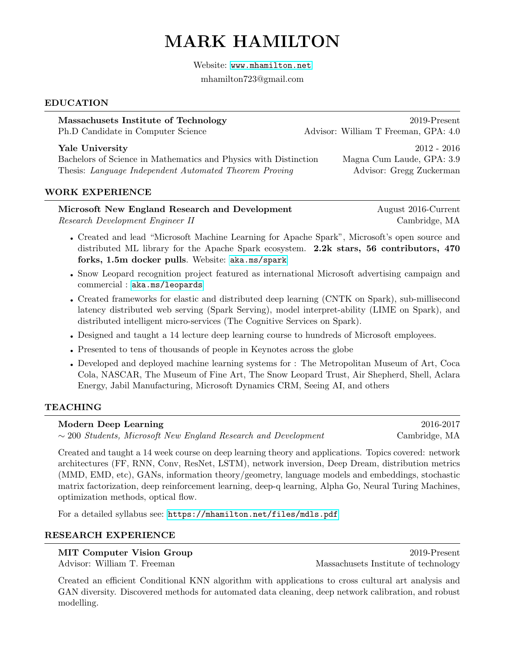# MARK HAMILTON

Website: <www.mhamilton.net>

mhamilton723@gmail.com

#### EDUCATION

| Massachusets Institute of Technology<br>Ph.D Candidate in Computer Science                                                                    | 2019-Present<br>Advisor: William T Freeman, GPA: 4.0                   |
|-----------------------------------------------------------------------------------------------------------------------------------------------|------------------------------------------------------------------------|
| Yale University<br>Bachelors of Science in Mathematics and Physics with Distinction<br>Thesis: Language Independent Automated Theorem Proving | $2012 - 2016$<br>Magna Cum Laude, GPA: 3.9<br>Advisor: Gregg Zuckerman |

#### WORK EXPERIENCE

# Microsoft New England Research and Development August 2016-Current

Research Development Engineer II Cambridge, MA

- Created and lead "Microsoft Machine Learning for Apache Spark", Microsoft's open source and distributed ML library for the Apache Spark ecosystem. 2.2k stars, 56 contributors, 470 forks, 1.5m docker pulls. Website: <aka.ms/spark>
- Snow Leopard recognition project featured as international Microsoft advertising campaign and commercial : <aka.ms/leopards>
- Created frameworks for elastic and distributed deep learning (CNTK on Spark), sub-millisecond latency distributed web serving (Spark Serving), model interpret-ability (LIME on Spark), and distributed intelligent micro-services (The Cognitive Services on Spark).
- Designed and taught a 14 lecture deep learning course to hundreds of Microsoft employees.
- Presented to tens of thousands of people in Keynotes across the globe
- Developed and deployed machine learning systems for : The Metropolitan Museum of Art, Coca Cola, NASCAR, The Museum of Fine Art, The Snow Leopard Trust, Air Shepherd, Shell, Aclara Energy, Jabil Manufacturing, Microsoft Dynamics CRM, Seeing AI, and others

# TEACHING

### Modern Deep Learning 2016-2017

∼ 200 Students, Microsoft New England Research and Development Cambridge, MA

Created and taught a 14 week course on deep learning theory and applications. Topics covered: network architectures (FF, RNN, Conv, ResNet, LSTM), network inversion, Deep Dream, distribution metrics (MMD, EMD, etc), GANs, information theory/geometry, language models and embeddings, stochastic matrix factorization, deep reinforcement learning, deep-q learning, Alpha Go, Neural Turing Machines, optimization methods, optical flow.

For a detailed syllabus see: <https://mhamilton.net/files/mdls.pdf>

### RESEARCH EXPERIENCE

MIT Computer Vision Group 2019-Present Advisor: William T. Freeman Massachusets Institute of technology

Created an efficient Conditional KNN algorithm with applications to cross cultural art analysis and GAN diversity. Discovered methods for automated data cleaning, deep network calibration, and robust modelling.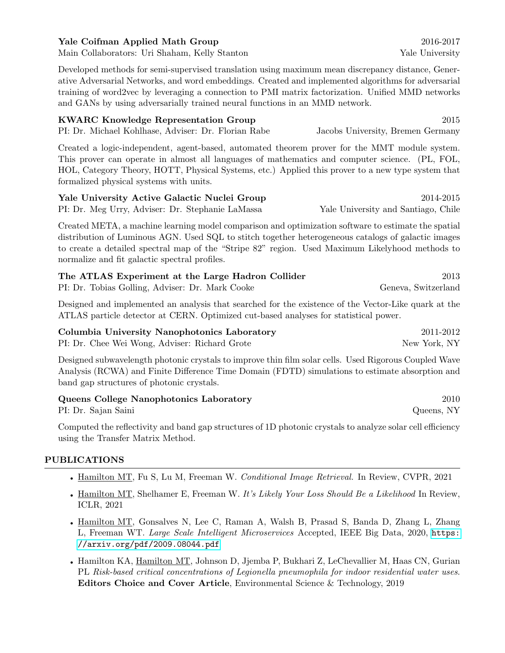#### Yale Coifman Applied Math Group 2016-2017

Main Collaborators: Uri Shaham, Kelly Stanton Yale View Yale University

Developed methods for semi-supervised translation using maximum mean discrepancy distance, Generative Adversarial Networks, and word embeddings. Created and implemented algorithms for adversarial training of word2vec by leveraging a connection to PMI matrix factorization. Unified MMD networks and GANs by using adversarially trained neural functions in an MMD network.

| <b>KWARC Knowledge Representation Group</b>         | 2015                              |
|-----------------------------------------------------|-----------------------------------|
| PI: Dr. Michael Kohlhase, Adviser: Dr. Florian Rabe | Jacobs University, Bremen Germany |
|                                                     | $\alpha$ a norm and $\alpha$      |

Created a logic-independent, agent-based, automated theorem prover for the MMT module system. This prover can operate in almost all languages of mathematics and computer science. (PL, FOL, HOL, Category Theory, HOTT, Physical Systems, etc.) Applied this prover to a new type system that formalized physical systems with units.

| Yale University Active Galactic Nuclei Group     |                                     | 2014-2015 |  |  |
|--------------------------------------------------|-------------------------------------|-----------|--|--|
| PI: Dr. Meg Urry, Adviser: Dr. Stephanie LaMassa | Yale University and Santiago, Chile |           |  |  |

Created META, a machine learning model comparison and optimization software to estimate the spatial distribution of Luminous AGN. Used SQL to stitch together heterogeneous catalogs of galactic images to create a detailed spectral map of the "Stripe 82" region. Used Maximum Likelyhood methods to normalize and fit galactic spectral profiles.

| The ATLAS Experiment at the Large Hadron Collider | 2013                |
|---------------------------------------------------|---------------------|
| PI: Dr. Tobias Golling, Adviser: Dr. Mark Cooke   | Geneva, Switzerland |

Designed and implemented an analysis that searched for the existence of the Vector-Like quark at the ATLAS particle detector at CERN. Optimized cut-based analyses for statistical power.

Columbia University Nanophotonics Laboratory 2011-2012 PI: Dr. Chee Wei Wong, Adviser: Richard Grote New York, NY

Designed subwavelength photonic crystals to improve thin film solar cells. Used Rigorous Coupled Wave Analysis (RCWA) and Finite Difference Time Domain (FDTD) simulations to estimate absorption and band gap structures of photonic crystals.

| Queens College Nanophotonics Laboratory | 2010       |
|-----------------------------------------|------------|
| PI: Dr. Sajan Saini                     | Queens, NY |

Computed the reflectivity and band gap structures of 1D photonic crystals to analyze solar cell efficiency using the Transfer Matrix Method.

### PUBLICATIONS

- Hamilton MT, Fu S, Lu M, Freeman W. Conditional Image Retrieval. In Review, CVPR, 2021
- Hamilton MT, Shelhamer E, Freeman W. It's Likely Your Loss Should Be a Likelihood In Review, ICLR, 2021
- Hamilton MT, Gonsalves N, Lee C, Raman A, Walsh B, Prasad S, Banda D, Zhang L, Zhang L, Freeman WT. Large Scale Intelligent Microservices Accepted, IEEE Big Data, 2020, [https:](https://arxiv.org/pdf/2009.08044.pdf) [//arxiv.org/pdf/2009.08044.pdf](https://arxiv.org/pdf/2009.08044.pdf)
- Hamilton KA, Hamilton MT, Johnson D, Jjemba P, Bukhari Z, LeChevallier M, Haas CN, Gurian PL Risk-based critical concentrations of Legionella pneumophila for indoor residential water uses. Editors Choice and Cover Article, Environmental Science & Technology, 2019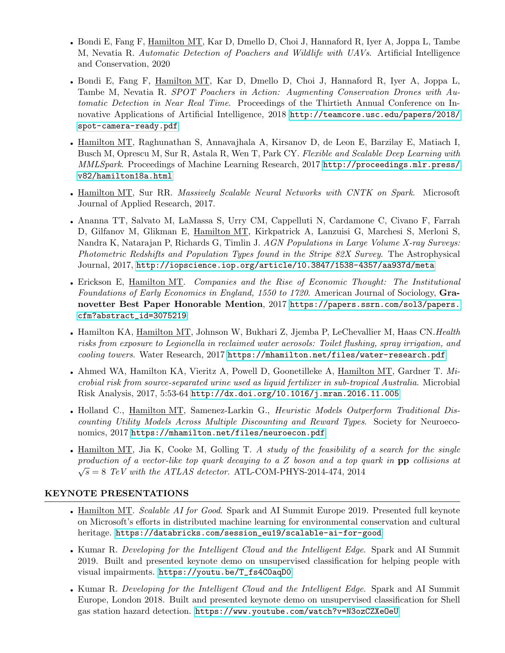- Bondi E, Fang F, Hamilton MT, Kar D, Dmello D, Choi J, Hannaford R, Iyer A, Joppa L, Tambe M, Nevatia R. Automatic Detection of Poachers and Wildlife with UAVs. Artificial Intelligence and Conservation, 2020
- Bondi E, Fang F, Hamilton MT, Kar D, Dmello D, Choi J, Hannaford R, Iyer A, Joppa L, Tambe M, Nevatia R. SPOT Poachers in Action: Augmenting Conservation Drones with Automatic Detection in Near Real Time. Proceedings of the Thirtieth Annual Conference on Innovative Applications of Artificial Intelligence, 2018 [http://teamcore.usc.edu/papers/2018/](http://teamcore.usc.edu/papers/2018/spot-camera-ready.pdf) [spot-camera-ready.pdf](http://teamcore.usc.edu/papers/2018/spot-camera-ready.pdf)
- Hamilton MT, Raghunathan S, Annavajhala A, Kirsanov D, de Leon E, Barzilay E, Matiach I, Busch M, Oprescu M, Sur R, Astala R, Wen T, Park CY. Flexible and Scalable Deep Learning with MMLSpark. Proceedings of Machine Learning Research, 2017 [http://proceedings.mlr.press/](http://proceedings.mlr.press/v82/hamilton18a.html) [v82/hamilton18a.html](http://proceedings.mlr.press/v82/hamilton18a.html)
- Hamilton MT, Sur RR. Massively Scalable Neural Networks with CNTK on Spark. Microsoft Journal of Applied Research, 2017.
- Ananna TT, Salvato M, LaMassa S, Urry CM, Cappelluti N, Cardamone C, Civano F, Farrah D, Gilfanov M, Glikman E, Hamilton MT, Kirkpatrick A, Lanzuisi G, Marchesi S, Merloni S, Nandra K, Natarajan P, Richards G, Timlin J. AGN Populations in Large Volume X-ray Surveys: Photometric Redshifts and Population Types found in the Stripe 82X Survey. The Astrophysical Journal, 2017, <http://iopscience.iop.org/article/10.3847/1538-4357/aa937d/meta>
- Erickson E, Hamilton MT. Companies and the Rise of Economic Thought: The Institutional Foundations of Early Economics in England, 1550 to 1720. American Journal of Sociology, Granovetter Best Paper Honorable Mention, 2017 [https://papers.ssrn.com/sol3/papers.](https://papers.ssrn.com/sol3/papers.cfm?abstract_id=3075219) [cfm?abstract\\_id=3075219](https://papers.ssrn.com/sol3/papers.cfm?abstract_id=3075219)
- Hamilton KA, Hamilton MT, Johnson W, Bukhari Z, Jjemba P, LeChevallier M, Haas CN.Health risks from exposure to Legionella in reclaimed water aerosols: Toilet flushing, spray irrigation, and cooling towers. Water Research, 2017 <https://mhamilton.net/files/water-research.pdf>
- Ahmed WA, Hamilton KA, Vieritz A, Powell D, Goonetilleke A, Hamilton MT, Gardner T. Microbial risk from source-separated urine used as liquid fertilizer in sub-tropical Australia. Microbial Risk Analysis, 2017, 5:53-64 <http://dx.doi.org/10.1016/j.mran.2016.11.005>
- Holland C., Hamilton MT, Samenez-Larkin G., *Heuristic Models Outperform Traditional Dis*counting Utility Models Across Multiple Discounting and Reward Types. Society for Neuroeconomics, 2017 <https://mhamilton.net/files/neuroecon.pdf>
- Hamilton MT, Jia K, Cooke M, Golling T. A study of the feasibility of a search for the single production of a vector-like top quark decaying to a Z boson and a top quark in  $\mathbf{pp}$  collisions at  $\sqrt{s} = 8$  TeV with the ATLAS detector. ATL-COM-PHYS-2014-474, 2014

#### KEYNOTE PRESENTATIONS

- Hamilton MT. Scalable AI for Good. Spark and AI Summit Europe 2019. Presented full keynote on Microsoft's efforts in distributed machine learning for environmental conservation and cultural heritage. [https://databricks.com/session\\_eu19/scalable-ai-for-good](https://databricks.com/session_eu19/scalable-ai-for-good)
- Kumar R. Developing for the Intelligent Cloud and the Intelligent Edge. Spark and AI Summit 2019. Built and presented keynote demo on unsupervised classification for helping people with visual impairments. [https://youtu.be/T\\_fs4C0aqD0](https://youtu.be/T_fs4C0aqD0)
- Kumar R. Developing for the Intelligent Cloud and the Intelligent Edge. Spark and AI Summit Europe, London 2018. Built and presented keynote demo on unsupervised classification for Shell gas station hazard detection. <https://www.youtube.com/watch?v=N3ozCZXeOeU>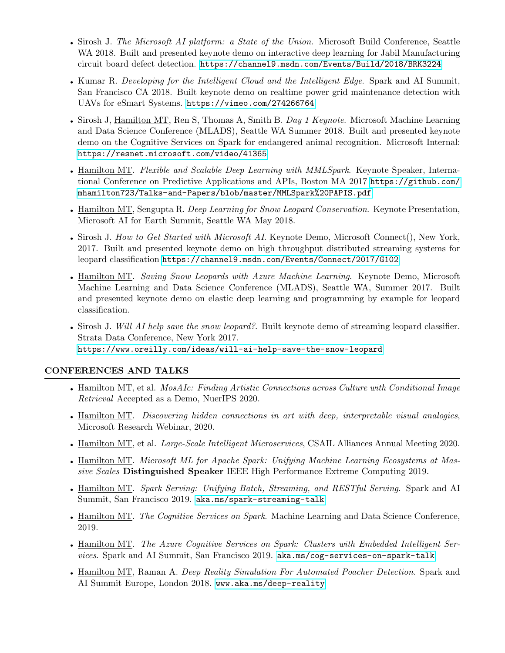- Sirosh J. The Microsoft AI platform: a State of the Union. Microsoft Build Conference, Seattle WA 2018. Built and presented keynote demo on interactive deep learning for Jabil Manufacturing circuit board defect detection. <https://channel9.msdn.com/Events/Build/2018/BRK3224>
- Kumar R. Developing for the Intelligent Cloud and the Intelligent Edge. Spark and AI Summit, San Francisco CA 2018. Built keynote demo on realtime power grid maintenance detection with UAVs for eSmart Systems. <https://vimeo.com/274266764>
- Sirosh J, Hamilton MT, Ren S, Thomas A, Smith B. Day 1 Keynote. Microsoft Machine Learning and Data Science Conference (MLADS), Seattle WA Summer 2018. Built and presented keynote demo on the Cognitive Services on Spark for endangered animal recognition. Microsoft Internal: <https://resnet.microsoft.com/video/41365>
- Hamilton MT. Flexible and Scalable Deep Learning with MMLSpark. Keynote Speaker, International Conference on Predictive Applications and APIs, Boston MA 2017 [https://github.com/](https://github.com/mhamilton723/Talks-and-Papers/blob/master/MMLSpark%20PAPIS.pdf) [mhamilton723/Talks-and-Papers/blob/master/MMLSpark%20PAPIS.pdf](https://github.com/mhamilton723/Talks-and-Papers/blob/master/MMLSpark%20PAPIS.pdf)
- Hamilton MT, Sengupta R. Deep Learning for Snow Leopard Conservation. Keynote Presentation, Microsoft AI for Earth Summit, Seattle WA May 2018.
- Sirosh J. How to Get Started with Microsoft AI. Keynote Demo, Microsoft Connect(), New York, 2017. Built and presented keynote demo on high throughput distributed streaming systems for leopard classification <https://channel9.msdn.com/Events/Connect/2017/G102>
- Hamilton MT. Saving Snow Leopards with Azure Machine Learning. Keynote Demo, Microsoft Machine Learning and Data Science Conference (MLADS), Seattle WA, Summer 2017. Built and presented keynote demo on elastic deep learning and programming by example for leopard classification.
- Sirosh J. Will AI help save the snow leopard?. Built keynote demo of streaming leopard classifier. Strata Data Conference, New York 2017. <https://www.oreilly.com/ideas/will-ai-help-save-the-snow-leopard>

#### CONFERENCES AND TALKS

- Hamilton MT, et al. MosAIc: Finding Artistic Connections across Culture with Conditional Image Retrieval Accepted as a Demo, NuerIPS 2020.
- Hamilton MT. Discovering hidden connections in art with deep, interpretable visual analogies, Microsoft Research Webinar, 2020.
- Hamilton MT, et al. *Large-Scale Intelligent Microservices*, CSAIL Alliances Annual Meeting 2020.
- Hamilton MT. Microsoft ML for Apache Spark: Unifying Machine Learning Ecosystems at Massive Scales Distinguished Speaker IEEE High Performance Extreme Computing 2019.
- Hamilton MT. Spark Serving: Unifying Batch, Streaming, and RESTful Serving. Spark and AI Summit, San Francisco 2019. <aka.ms/spark-streaming-talk>
- Hamilton MT. The Cognitive Services on Spark. Machine Learning and Data Science Conference, 2019.
- Hamilton MT. The Azure Cognitive Services on Spark: Clusters with Embedded Intelligent Services. Spark and AI Summit, San Francisco 2019. <aka.ms/cog-services-on-spark-talk>
- Hamilton MT, Raman A. Deep Reality Simulation For Automated Poacher Detection. Spark and AI Summit Europe, London 2018. <www.aka.ms/deep-reality>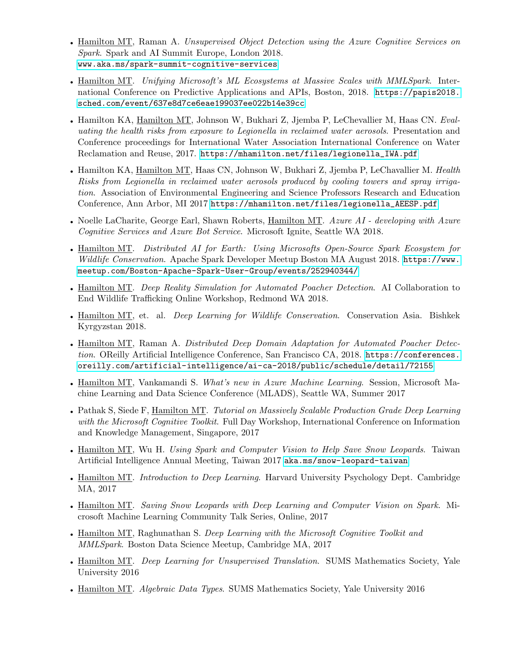- Hamilton MT, Raman A. Unsupervised Object Detection using the Azure Cognitive Services on Spark. Spark and AI Summit Europe, London 2018. <www.aka.ms/spark-summit-cognitive-services>
- Hamilton MT. Unifying Microsoft's ML Ecosystems at Massive Scales with MMLSpark. International Conference on Predictive Applications and APIs, Boston, 2018. [https://papis2018.](https://papis2018.sched.com/event/637e8d7ce6eae199037ee022b14e39cc) [sched.com/event/637e8d7ce6eae199037ee022b14e39cc](https://papis2018.sched.com/event/637e8d7ce6eae199037ee022b14e39cc)
- Hamilton KA, Hamilton MT, Johnson W, Bukhari Z, Jjemba P, LeChevallier M, Haas CN. Evaluating the health risks from exposure to Legionella in reclaimed water aerosols. Presentation and Conference proceedings for International Water Association International Conference on Water Reclamation and Reuse, 2017. [https://mhamilton.net/files/legionella\\_IWA.pdf](https://mhamilton.net/files/legionella_IWA.pdf)
- Hamilton KA, Hamilton MT, Haas CN, Johnson W, Bukhari Z, Jjemba P, LeChavallier M. Health Risks from Legionella in reclaimed water aerosols produced by cooling towers and spray irrigation. Association of Environmental Engineering and Science Professors Research and Education Conference, Ann Arbor, MI 2017 [https://mhamilton.net/files/legionella\\_AEESP.pdf](https://mhamilton.net/files/legionella_AEESP.pdf)
- Noelle LaCharite, George Earl, Shawn Roberts, Hamilton MT. Azure AI developing with Azure Cognitive Services and Azure Bot Service. Microsoft Ignite, Seattle WA 2018.
- Hamilton MT. Distributed AI for Earth: Using Microsofts Open-Source Spark Ecosystem for Wildlife Conservation. Apache Spark Developer Meetup Boston MA August 2018. [https://www.](https://www.meetup.com/Boston-Apache-Spark-User-Group/events/252940344/) [meetup.com/Boston-Apache-Spark-User-Group/events/252940344/](https://www.meetup.com/Boston-Apache-Spark-User-Group/events/252940344/)
- Hamilton MT. Deep Reality Simulation for Automated Poacher Detection. AI Collaboration to End Wildlife Trafficking Online Workshop, Redmond WA 2018.
- Hamilton MT, et. al. *Deep Learning for Wildlife Conservation*. Conservation Asia. Bishkek Kyrgyzstan 2018.
- Hamilton MT, Raman A. Distributed Deep Domain Adaptation for Automated Poacher Detection. OReilly Artificial Intelligence Conference, San Francisco CA, 2018. [https://conferences.](https://conferences.oreilly.com/artificial-intelligence/ai-ca-2018/public/schedule/detail/72155) [oreilly.com/artificial-intelligence/ai-ca-2018/public/schedule/detail/72155](https://conferences.oreilly.com/artificial-intelligence/ai-ca-2018/public/schedule/detail/72155)
- Hamilton MT, Vankamandi S. *What's new in Azure Machine Learning*. Session, Microsoft Machine Learning and Data Science Conference (MLADS), Seattle WA, Summer 2017
- Pathak S, Siede F, Hamilton MT. Tutorial on Massively Scalable Production Grade Deep Learning with the Microsoft Cognitive Toolkit. Full Day Workshop, International Conference on Information and Knowledge Management, Singapore, 2017
- Hamilton MT, Wu H. Using Spark and Computer Vision to Help Save Snow Leopards. Taiwan Artificial Intelligence Annual Meeting, Taiwan 2017 <aka.ms/snow-leopard-taiwan>
- Hamilton MT. *Introduction to Deep Learning*. Harvard University Psychology Dept. Cambridge MA, 2017
- Hamilton MT. Saving Snow Leopards with Deep Learning and Computer Vision on Spark. Microsoft Machine Learning Community Talk Series, Online, 2017
- Hamilton MT, Raghunathan S. Deep Learning with the Microsoft Cognitive Toolkit and MMLSpark. Boston Data Science Meetup, Cambridge MA, 2017
- Hamilton MT. *Deep Learning for Unsupervised Translation*. SUMS Mathematics Society, Yale University 2016
- Hamilton MT. *Algebraic Data Types*. SUMS Mathematics Society, Yale University 2016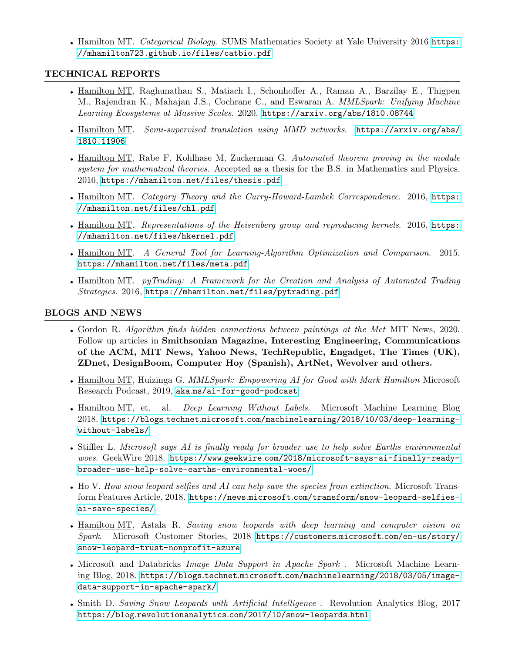• Hamilton MT. Categorical Biology. SUMS Mathematics Society at Yale University 2016 [https:](https://mhamilton723.github.io/files/catbio.pdf) [//mhamilton723.github.io/files/catbio.pdf](https://mhamilton723.github.io/files/catbio.pdf)

#### TECHNICAL REPORTS

- Hamilton MT, Raghunathan S., Matiach I., Schonhoffer A., Raman A., Barzilay E., Thigpen M., Rajendran K., Mahajan J.S., Cochrane C., and Eswaran A. *MMLSpark: Unifying Machine* Learning Ecosystems at Massive Scales. 2020. <https://arxiv.org/abs/1810.08744>
- Hamilton MT. Semi-supervised translation using MMD networks. [https://arxiv.org/abs/](https://arxiv.org/abs/1810.11906) [1810.11906](https://arxiv.org/abs/1810.11906)
- Hamilton MT, Rabe F, Kohlhase M, Zuckerman G. Automated theorem proving in the module system for mathematical theories. Accepted as a thesis for the B.S. in Mathematics and Physics, 2016, <https://mhamilton.net/files/thesis.pdf>
- Hamilton MT. Category Theory and the Curry-Howard-Lambek Correspondence. 2016, [https:](https://mhamilton.net/files/chl.pdf) [//mhamilton.net/files/chl.pdf](https://mhamilton.net/files/chl.pdf)
- Hamilton MT. Representations of the Heisenberg group and reproducing kernels. 2016, [https:](https://mhamilton.net/files/hkernel.pdf) [//mhamilton.net/files/hkernel.pdf](https://mhamilton.net/files/hkernel.pdf)
- Hamilton MT. A General Tool for Learning-Algorithm Optimization and Comparison. 2015, <https://mhamilton.net/files/meta.pdf>
- Hamilton MT. pyTrading: A Framework for the Creation and Analysis of Automated Trading Strategies. 2016, <https://mhamilton.net/files/pytrading.pdf>

#### BLOGS AND NEWS

- Gordon R. Algorithm finds hidden connections between paintings at the Met MIT News, 2020. Follow up articles in Smithsonian Magazine, Interesting Engineering, Communications of the ACM, MIT News, Yahoo News, TechRepublic, Engadget, The Times (UK), ZDnet, DesignBoom, Computer Hoy (Spanish), ArtNet, Wevolver and others.
- Hamilton MT, Huizinga G. MMLSpark: Empowering AI for Good with Mark Hamilton Microsoft Research Podcast, 2019, aka.[ms/ai-for-good-podcast](aka.ms/ai-for-good-podcast)
- Hamilton MT, et. al. Deep Learning Without Labels. Microsoft Machine Learning Blog 2018. https://blogs.technet.microsoft.[com/machinelearning/2018/10/03/deep-learning](https://blogs.technet.microsoft.com/machinelearning/2018/10/03/deep-learning-without-labels/)[without-labels/](https://blogs.technet.microsoft.com/machinelearning/2018/10/03/deep-learning-without-labels/)
- Stiffler L. Microsoft says AI is finally ready for broader use to help solve Earths environmental woes. GeekWire 2018. https://www.geekwire.[com/2018/microsoft-says-ai-finally-ready](https://www.geekwire.com/2018/microsoft-says-ai-finally-ready-broader-use-help-solve-earths-environmental-woes/)[broader-use-help-solve-earths-environmental-woes/](https://www.geekwire.com/2018/microsoft-says-ai-finally-ready-broader-use-help-solve-earths-environmental-woes/)
- Ho V. How snow leopard selfies and AI can help save the species from extinction. Microsoft Transform Features Article, 2018. https://news.microsoft.[com/transform/snow-leopard-selfies](https://news.microsoft.com/transform/snow-leopard-selfies-ai-save-species/)[ai-save-species/](https://news.microsoft.com/transform/snow-leopard-selfies-ai-save-species/)
- Hamilton MT, Astala R. Saving snow leopards with deep learning and computer vision on Spark. Microsoft Customer Stories, 2018 [https://customers](https://customers.microsoft.com/en-us/story/snow-leopard-trust-nonprofit-azure).microsoft.com/en-us/story/ [snow-leopard-trust-nonprofit-azure](https://customers.microsoft.com/en-us/story/snow-leopard-trust-nonprofit-azure)
- Microsoft and Databricks *Image Data Support in Apache Spark*. Microsoft Machine Learning Blog, 2018. https://blogs.technet.microsoft.[com/machinelearning/2018/03/05/image](https://blogs.technet.microsoft.com/machinelearning/2018/03/05/image-data-support-in-apache-spark/)[data-support-in-apache-spark/](https://blogs.technet.microsoft.com/machinelearning/2018/03/05/image-data-support-in-apache-spark/)
- Smith D. Saving Snow Leopards with Artificial Intelligence. Revolution Analytics Blog, 2017 https://blog.revolutionanalytics.[com/2017/10/snow-leopards](https://blog.revolutionanalytics.com/2017/10/snow-leopards.html).html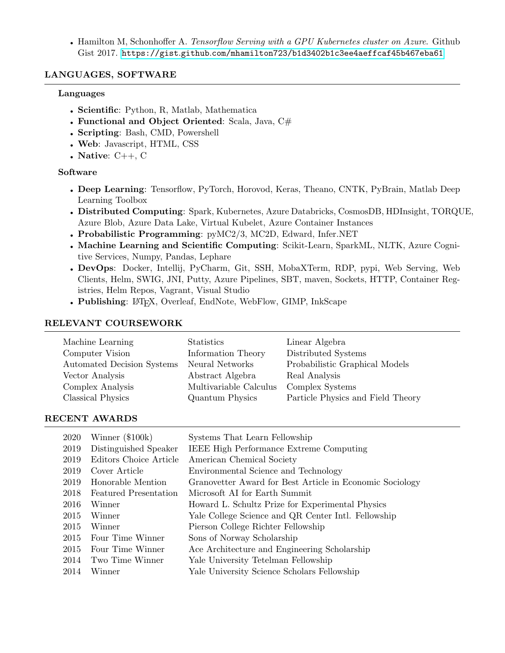• Hamilton M, Schonhoffer A. Tensorflow Serving with a GPU Kubernetes cluster on Azure. Github Gist 2017. https://gist.github.[com/mhamilton723/b1d3402b1c3ee4aeffcaf45b467eba61](https://gist.github.com/mhamilton723/b1d3402b1c3ee4aeffcaf45b467eba61)

#### LANGUAGES, SOFTWARE

#### Languages

- Scientific: Python, R, Matlab, Mathematica
- Functional and Object Oriented: Scala, Java, C#
- Scripting: Bash, CMD, Powershell
- Web: Javascript, HTML, CSS
- Native:  $C_{++}$ , C

#### Software

- Deep Learning: Tensorflow, PyTorch, Horovod, Keras, Theano, CNTK, PyBrain, Matlab Deep Learning Toolbox
- Distributed Computing: Spark, Kubernetes, Azure Databricks, CosmosDB, HDInsight, TORQUE, Azure Blob, Azure Data Lake, Virtual Kubelet, Azure Container Instances
- Probabilistic Programming: pyMC2/3, MC2D, Edward, Infer.NET
- Machine Learning and Scientific Computing: Scikit-Learn, SparkML, NLTK, Azure Cognitive Services, Numpy, Pandas, Lephare
- DevOps: Docker, Intellij, PyCharm, Git, SSH, MobaXTerm, RDP, pypi, Web Serving, Web Clients, Helm, SWIG, JNI, Putty, Azure Pipelines, SBT, maven, Sockets, HTTP, Container Registries, Helm Repos, Vagrant, Visual Studio
- Publishing: LAT<sub>E</sub>X, Overleaf, EndNote, WebFlow, GIMP, InkScape

#### RELEVANT COURSEWORK

| Machine Learning           | Statistics             | Linear Algebra                    |
|----------------------------|------------------------|-----------------------------------|
| Computer Vision            | Information Theory     | Distributed Systems               |
| Automated Decision Systems | Neural Networks        | Probabilistic Graphical Models    |
| Vector Analysis            | Abstract Algebra       | Real Analysis                     |
| Complex Analysis           | Multivariable Calculus | Complex Systems                   |
| Classical Physics          | Quantum Physics        | Particle Physics and Field Theory |

#### RECENT AWARDS

| 2020 | Winner $(\$100k)$            | Systems That Learn Fellowship                            |
|------|------------------------------|----------------------------------------------------------|
| 2019 | Distinguished Speaker        | <b>IEEE High Performance Extreme Computing</b>           |
| 2019 | Editors Choice Article       | American Chemical Society                                |
| 2019 | Cover Article                | Environmental Science and Technology                     |
| 2019 | Honorable Mention            | Granovetter Award for Best Article in Economic Sociology |
| 2018 | <b>Featured Presentation</b> | Microsoft AI for Earth Summit                            |
| 2016 | Winner                       | Howard L. Schultz Prize for Experimental Physics         |
| 2015 | Winner                       | Yale College Science and QR Center Intl. Fellowship      |
| 2015 | Winner                       | Pierson College Richter Fellowship                       |
| 2015 | Four Time Winner             | Sons of Norway Scholarship                               |
| 2015 | Four Time Winner             | Ace Architecture and Engineering Scholarship             |
| 2014 | Two Time Winner              | Yale University Tetelman Fellowship                      |
| 2014 | Winner                       | Yale University Science Scholars Fellowship              |
|      |                              |                                                          |